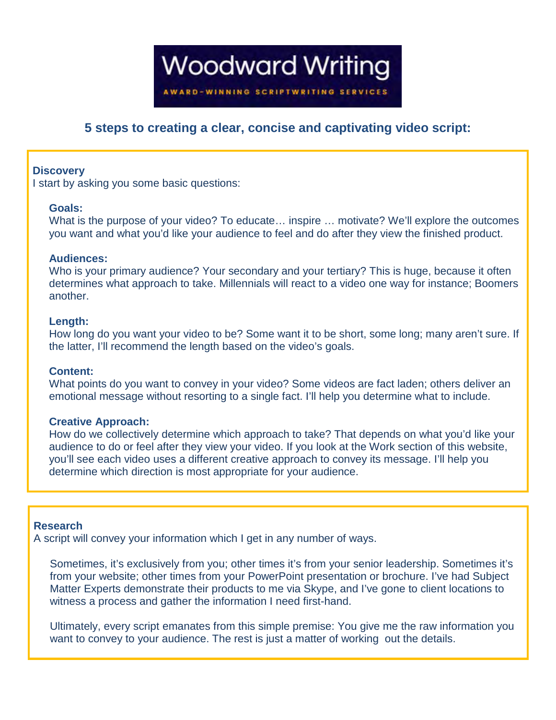**Woodward Writing AWARD-WINNING SCRIPTWRITING SERVICES** 

# **5 steps to creating a clear, concise and captivating video script:**

## **Discovery**

I start by asking you some basic questions:

### **Goals:**

What is the purpose of your video? To educate... inspire ... motivate? We'll explore the outcomes you want and what you'd like your audience to feel and do after they view the finished product.

### **Audiences:**

Who is your primary audience? Your secondary and your tertiary? This is huge, because it often determines what approach to take. Millennials will react to a video one way for instance; Boomers another.

### **Length:**

How long do you want your video to be? Some want it to be short, some long; many aren't sure. If the latter, I'll recommend the length based on the video's goals.

# **Content:**

What points do you want to convey in your video? Some videos are fact laden; others deliver an emotional message without resorting to a single fact. I'll help you determine what to include.

# **Creative Approach:**

How do we collectively determine which approach to take? That depends on what you'd like your audience to do or feel after they view your video. If you look at the Work section of this website, you'll see each video uses a different creative approach to convey its message. I'll help you determine which direction is most appropriate for your audience.

#### **Research**

A script will convey your information which I get in any number of ways.

Sometimes, it's exclusively from you; other times it's from your senior leadership. Sometimes it's from your website; other times from your PowerPoint presentation or brochure. I've had Subject Matter Experts demonstrate their products to me via Skype, and I've gone to client locations to witness a process and gather the information I need first-hand.

Ultimately, every script emanates from this simple premise: You give me the raw information you want to convey to your audience. The rest is just a matter of working out the details.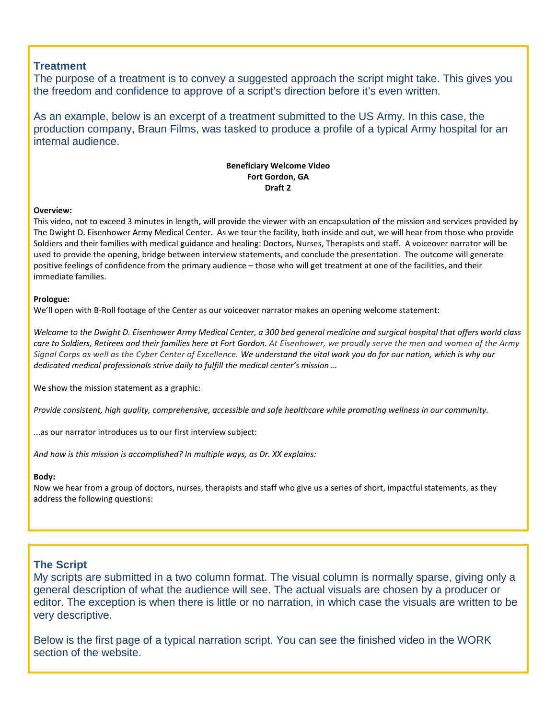# **Treatment**

The purpose of a treatment is to convey a suggested approach the script might take. This gives you the freedom and confidence to approve of a script's direction before it's even written.

As an example, below is an excerpt of a treatment submitted to the US Army. In this case, the production company, Braun Films, was tasked to produce a profile of a typical Army hospital for an internal audience.

#### **Beneficiary Welcome Video Fort Gordon, GA Draft 2**

#### **Overview:**

This video, not to exceed 3 minutes in length, will provide the viewer with an encapsulation of the mission and services provided by The Dwight D. Eisenhower Army Medical Center. As we tour the facility, both inside and out, we will hear from those who provide Soldiers and their families with medical guidance and healing: Doctors, Nurses, Therapists and staff. A voiceover narrator will be used to provide the opening, bridge between interview statements, and conclude the presentation. The outcome will generate positive feelings of confidence from the primary audience – those who will get treatment at one of the facilities, and their immediate families.

#### **Prologue:**

We'll open with B-Roll footage of the Center as our voiceover narrator makes an opening welcome statement:

*Welcome to the Dwight D. Eisenhower Army Medical Center, a 300 bed general medicine and surgical hospital that offers world class care to Soldiers, Retirees and their families here at Fort Gordon. At Eisenhower, we proudly serve the men and women of the Army Signal Corps as well as the Cyber Center of Excellence. We understand the vital work you do for our nation, which is why our dedicated medical professionals strive daily to fulfill the medical center's mission …*

We show the mission statement as a graphic:

*Provide consistent, high quality, comprehensive, accessible and safe healthcare while promoting wellness in our community.* 

...as our narrator introduces us to our first interview subject:

*And how is this mission is accomplished? In multiple ways, as Dr. XX explains:*

#### **Body:**

Now we hear from a group of doctors, nurses, therapists and staff who give us a series of short, impactful statements, as they address the following questions:

# **The Script**

My scripts are submitted in a two column format. The visual column is normally sparse, giving only a general description of what the audience will see. The actual visuals are chosen by a producer or editor. The exception is when there is little or no narration, in which case the visuals are written to be very descriptive.

Below is the first page of a typical narration script. You can see the finished video in the WORK section of the website.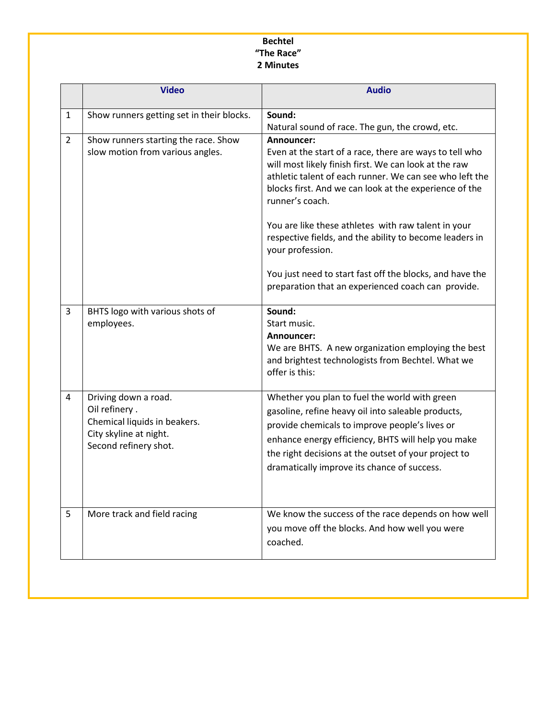# **Bechtel "The Race" 2 Minutes**

|                | <b>Video</b>                                                                                                             | <b>Audio</b>                                                                                                                                                                                                                                                                                                                  |
|----------------|--------------------------------------------------------------------------------------------------------------------------|-------------------------------------------------------------------------------------------------------------------------------------------------------------------------------------------------------------------------------------------------------------------------------------------------------------------------------|
| $\mathbf{1}$   | Show runners getting set in their blocks.                                                                                | Sound:<br>Natural sound of race. The gun, the crowd, etc.                                                                                                                                                                                                                                                                     |
| $\overline{2}$ | Show runners starting the race. Show<br>slow motion from various angles.                                                 | Announcer:<br>Even at the start of a race, there are ways to tell who<br>will most likely finish first. We can look at the raw<br>athletic talent of each runner. We can see who left the<br>blocks first. And we can look at the experience of the<br>runner's coach.<br>You are like these athletes with raw talent in your |
|                |                                                                                                                          | respective fields, and the ability to become leaders in<br>your profession.<br>You just need to start fast off the blocks, and have the<br>preparation that an experienced coach can provide.                                                                                                                                 |
| $\overline{3}$ | BHTS logo with various shots of<br>employees.                                                                            | Sound:<br>Start music.<br>Announcer:<br>We are BHTS. A new organization employing the best<br>and brightest technologists from Bechtel. What we<br>offer is this:                                                                                                                                                             |
| 4              | Driving down a road.<br>Oil refinery.<br>Chemical liquids in beakers.<br>City skyline at night.<br>Second refinery shot. | Whether you plan to fuel the world with green<br>gasoline, refine heavy oil into saleable products,<br>provide chemicals to improve people's lives or<br>enhance energy efficiency, BHTS will help you make<br>the right decisions at the outset of your project to<br>dramatically improve its chance of success.            |
| 5              | More track and field racing                                                                                              | We know the success of the race depends on how well<br>you move off the blocks. And how well you were<br>coached.                                                                                                                                                                                                             |